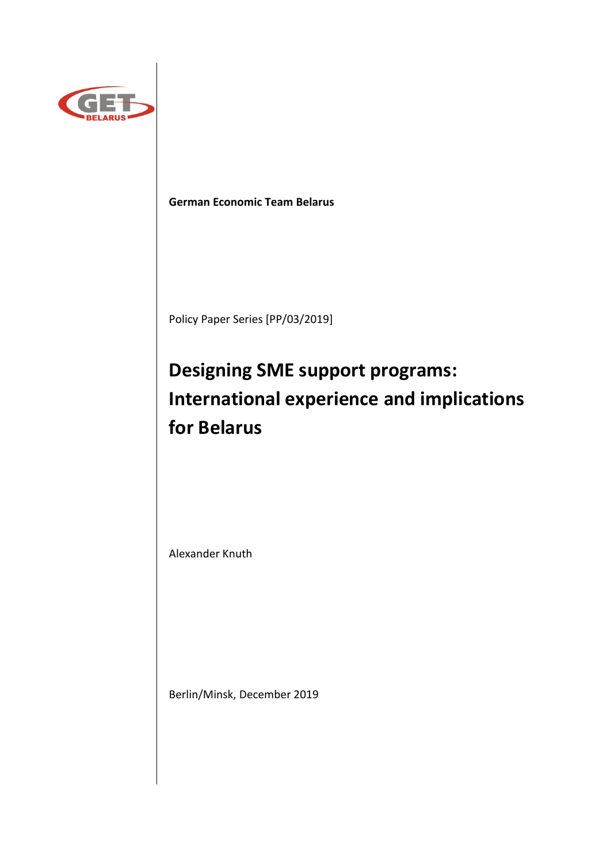

# **German Economic Team Belarus**

Policy Paper Series [PP/03/2019]

# **Designing SME support programs: International experience and implications for Belarus**

Alexander Knuth

Berlin/Minsk, December 2019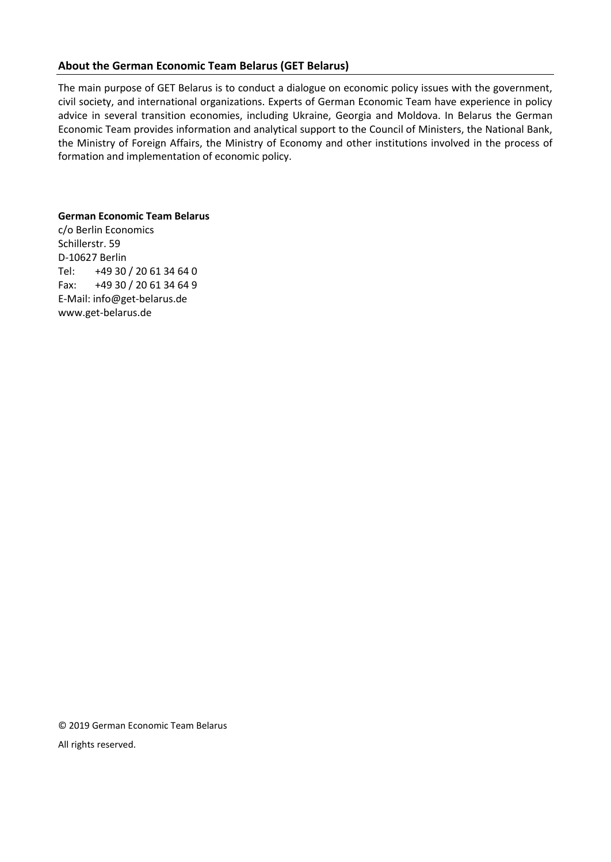# **About the German Economic Team Belarus (GET Belarus)**

The main purpose of GET Belarus is to conduct a dialogue on economic policy issues with the government, civil society, and international organizations. Experts of German Economic Team have experience in policy advice in several transition economies, including Ukraine, Georgia and Moldova. In Belarus the German Economic Team provides information and analytical support to the Council of Ministers, the National Bank, the Ministry of Foreign Affairs, the Ministry of Economy and other institutions involved in the process of formation and implementation of economic policy.

## **German Economic Team Belarus**

c/o Berlin Economics Schillerstr. 59 D-10627 Berlin Tel: +49 30 / 20 61 34 64 0 Fax: +49 30 / 20 61 34 64 9 E-Mail: info@get-belarus.de www.get-belarus.de

© 2019 German Economic Team Belarus All rights reserved.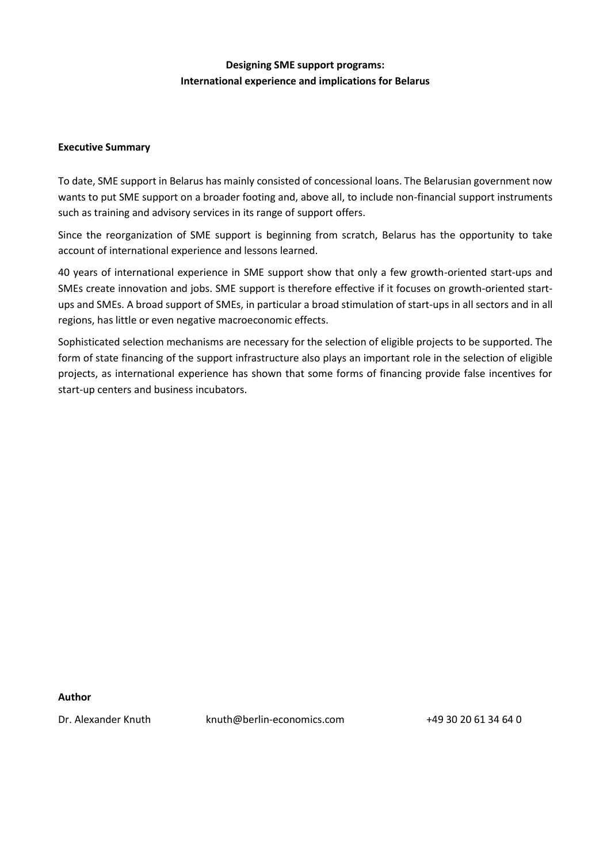# **Designing SME support programs: International experience and implications for Belarus**

## **Executive Summary**

To date, SME support in Belarus has mainly consisted of concessional loans. The Belarusian government now wants to put SME support on a broader footing and, above all, to include non-financial support instruments such as training and advisory services in its range of support offers.

Since the reorganization of SME support is beginning from scratch, Belarus has the opportunity to take account of international experience and lessons learned.

40 years of international experience in SME support show that only a few growth-oriented start-ups and SMEs create innovation and jobs. SME support is therefore effective if it focuses on growth-oriented startups and SMEs. A broad support of SMEs, in particular a broad stimulation of start-ups in all sectors and in all regions, has little or even negative macroeconomic effects.

Sophisticated selection mechanisms are necessary for the selection of eligible projects to be supported. The form of state financing of the support infrastructure also plays an important role in the selection of eligible projects, as international experience has shown that some forms of financing provide false incentives for start-up centers and business incubators.

### **Author**

Dr. Alexander Knuth knuth@berlin-economics.com +49 30 20 61 34 64 0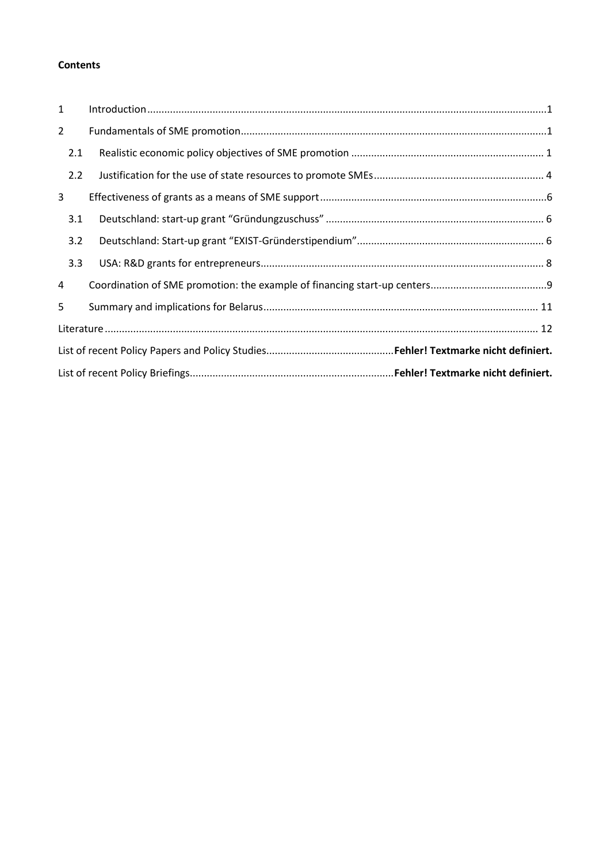# **Contents**

| $\mathbf{1}$   |  |  |  |  |  |
|----------------|--|--|--|--|--|
| $\overline{2}$ |  |  |  |  |  |
| 2.1            |  |  |  |  |  |
| 2.2            |  |  |  |  |  |
| 3              |  |  |  |  |  |
| 3.1            |  |  |  |  |  |
| 3.2            |  |  |  |  |  |
| 3.3            |  |  |  |  |  |
| 4              |  |  |  |  |  |
| 5              |  |  |  |  |  |
|                |  |  |  |  |  |
|                |  |  |  |  |  |
|                |  |  |  |  |  |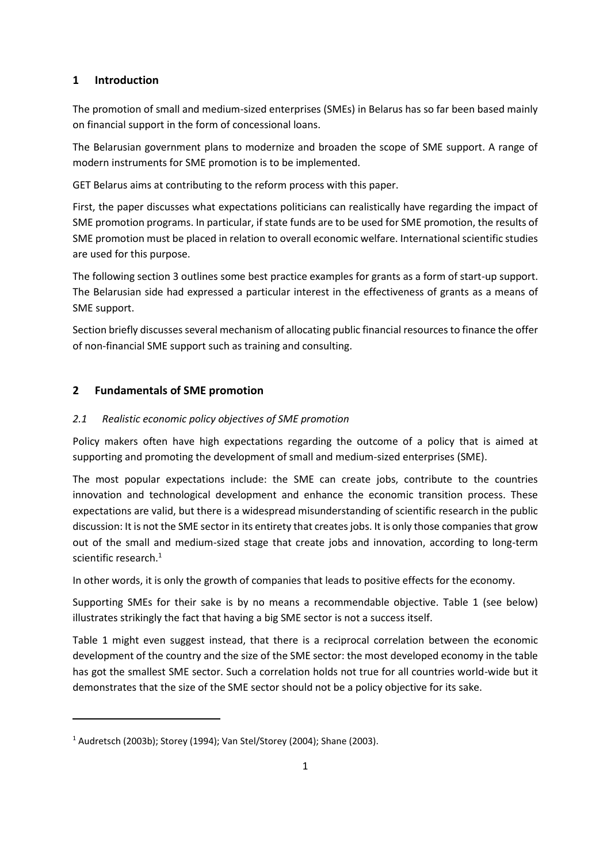# <span id="page-4-0"></span>**1 Introduction**

The promotion of small and medium-sized enterprises (SMEs) in Belarus has so far been based mainly on financial support in the form of concessional loans.

The Belarusian government plans to modernize and broaden the scope of SME support. A range of modern instruments for SME promotion is to be implemented.

GET Belarus aims at contributing to the reform process with this paper.

First, the paper discusses what expectations politicians can realistically have regarding the impact of SME promotion programs. In particular, if state funds are to be used for SME promotion, the results of SME promotion must be placed in relation to overall economic welfare. International scientific studies are used for this purpose.

The following section 3 outlines some best practice examples for grants as a form of start-up support. The Belarusian side had expressed a particular interest in the effectiveness of grants as a means of SME support.

Section briefly discusses several mechanism of allocating public financial resources to finance the offer of non-financial SME support such as training and consulting.

# <span id="page-4-1"></span>**2 Fundamentals of SME promotion**

## <span id="page-4-2"></span>*2.1 Realistic economic policy objectives of SME promotion*

Policy makers often have high expectations regarding the outcome of a policy that is aimed at supporting and promoting the development of small and medium-sized enterprises (SME).

The most popular expectations include: the SME can create jobs, contribute to the countries innovation and technological development and enhance the economic transition process. These expectations are valid, but there is a widespread misunderstanding of scientific research in the public discussion: It is not the SME sector in its entirety that creates jobs. It is only those companies that grow out of the small and medium-sized stage that create jobs and innovation, according to long-term scientific research.<sup>1</sup>

In other words, it is only the growth of companies that leads to positive effects for the economy.

Supporting SMEs for their sake is by no means a recommendable objective. Table 1 (see below) illustrates strikingly the fact that having a big SME sector is not a success itself.

Table 1 might even suggest instead, that there is a reciprocal correlation between the economic development of the country and the size of the SME sector: the most developed economy in the table has got the smallest SME sector. Such a correlation holds not true for all countries world-wide but it demonstrates that the size of the SME sector should not be a policy objective for its sake.

 $1$  Audretsch (2003b); Storey (1994); Van Stel/Storey (2004); Shane (2003).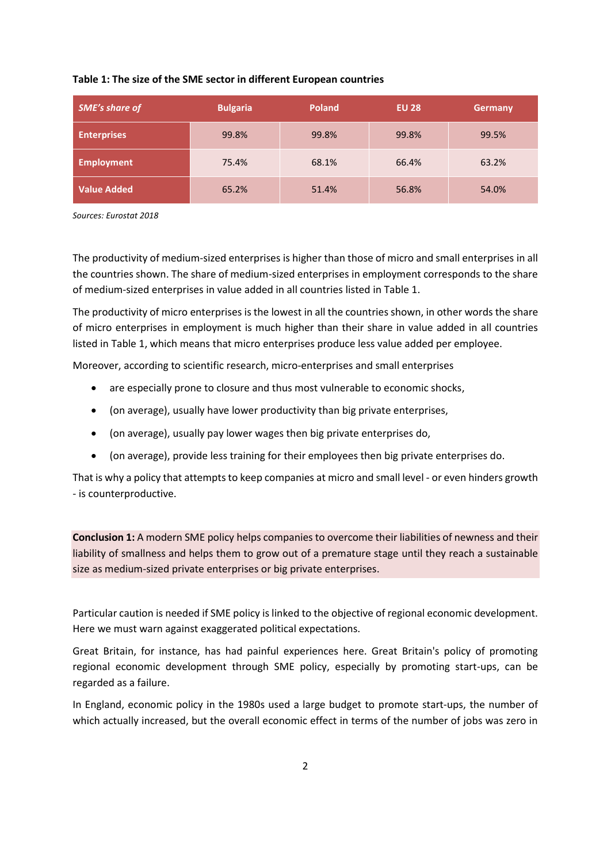## **Table 1: The size of the SME sector in different European countries**

| <b>SME's share of</b> | <b>Bulgaria</b> | <b>Poland</b> | <b>EU 28</b> | Germany |
|-----------------------|-----------------|---------------|--------------|---------|
| <b>Enterprises</b>    | 99.8%           | 99.8%         | 99.8%        | 99.5%   |
| <b>Employment</b>     | 75.4%           | 68.1%         | 66.4%        | 63.2%   |
| <b>Value Added</b>    | 65.2%           | 51.4%         | 56.8%        | 54.0%   |

*Sources: Eurostat 2018*

The productivity of medium-sized enterprises is higher than those of micro and small enterprises in all the countries shown. The share of medium-sized enterprises in employment corresponds to the share of medium-sized enterprises in value added in all countries listed in Table 1.

The productivity of micro enterprises is the lowest in all the countries shown, in other words the share of micro enterprises in employment is much higher than their share in value added in all countries listed in Table 1, which means that micro enterprises produce less value added per employee.

Moreover, according to scientific research, micro-enterprises and small enterprises

- are especially prone to closure and thus most vulnerable to economic shocks,
- (on average), usually have lower productivity than big private enterprises,
- (on average), usually pay lower wages then big private enterprises do,
- (on average), provide less training for their employees then big private enterprises do.

That is why a policy that attempts to keep companies at micro and small level - or even hinders growth - is counterproductive.

**Conclusion 1:** A modern SME policy helps companies to overcome their liabilities of newness and their liability of smallness and helps them to grow out of a premature stage until they reach a sustainable size as medium-sized private enterprises or big private enterprises.

Particular caution is needed if SME policy is linked to the objective of regional economic development. Here we must warn against exaggerated political expectations.

Great Britain, for instance, has had painful experiences here. Great Britain's policy of promoting regional economic development through SME policy, especially by promoting start-ups, can be regarded as a failure.

In England, economic policy in the 1980s used a large budget to promote start-ups, the number of which actually increased, but the overall economic effect in terms of the number of jobs was zero in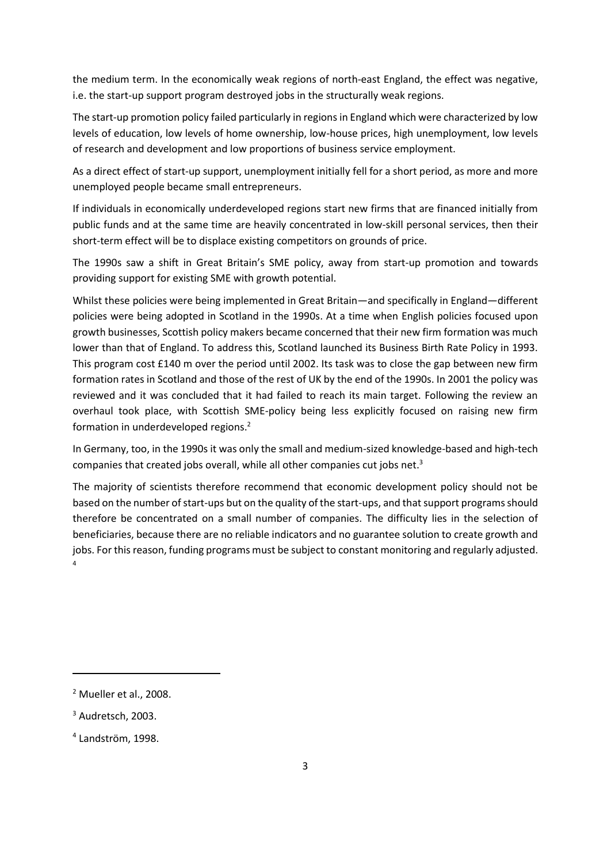the medium term. In the economically weak regions of north-east England, the effect was negative, i.e. the start-up support program destroyed jobs in the structurally weak regions.

The start-up promotion policy failed particularly in regions in England which were characterized by low levels of education, low levels of home ownership, low-house prices, high unemployment, low levels of research and development and low proportions of business service employment.

As a direct effect of start-up support, unemployment initially fell for a short period, as more and more unemployed people became small entrepreneurs.

If individuals in economically underdeveloped regions start new firms that are financed initially from public funds and at the same time are heavily concentrated in low-skill personal services, then their short-term effect will be to displace existing competitors on grounds of price.

The 1990s saw a shift in Great Britain's SME policy, away from start-up promotion and towards providing support for existing SME with growth potential.

Whilst these policies were being implemented in Great Britain—and specifically in England—different policies were being adopted in Scotland in the 1990s. At a time when English policies focused upon growth businesses, Scottish policy makers became concerned that their new firm formation was much lower than that of England. To address this, Scotland launched its Business Birth Rate Policy in 1993. This program cost £140 m over the period until 2002. Its task was to close the gap between new firm formation rates in Scotland and those of the rest of UK by the end of the 1990s. In 2001 the policy was reviewed and it was concluded that it had failed to reach its main target. Following the review an overhaul took place, with Scottish SME-policy being less explicitly focused on raising new firm formation in underdeveloped regions.<sup>2</sup>

In Germany, too, in the 1990s it was only the small and medium-sized knowledge-based and high-tech companies that created jobs overall, while all other companies cut jobs net.<sup>3</sup>

The majority of scientists therefore recommend that economic development policy should not be based on the number of start-ups but on the quality of the start-ups, and that support programs should therefore be concentrated on a small number of companies. The difficulty lies in the selection of beneficiaries, because there are no reliable indicators and no guarantee solution to create growth and jobs. For this reason, funding programs must be subject to constant monitoring and regularly adjusted. 4

<sup>2</sup> Mueller et al., 2008.

<sup>&</sup>lt;sup>3</sup> Audretsch, 2003.

<sup>4</sup> Landström, 1998.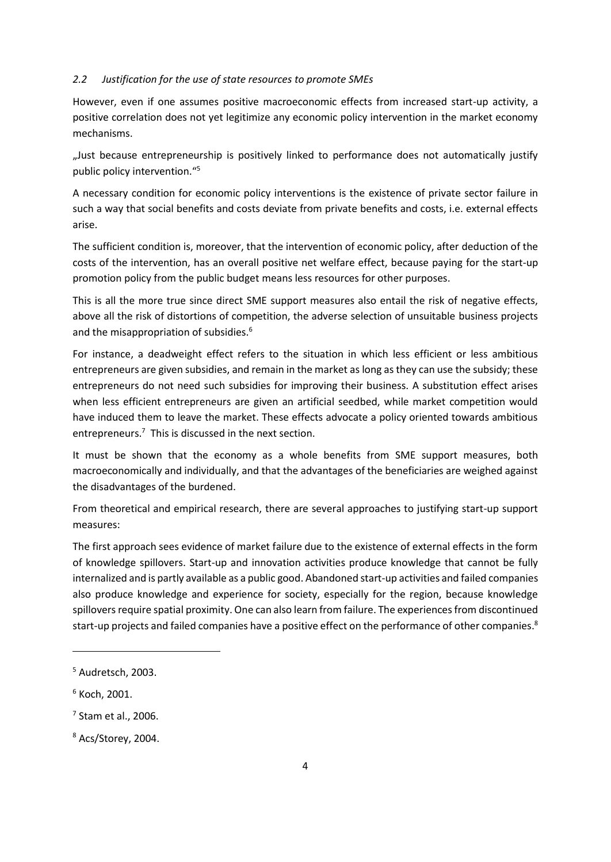#### <span id="page-7-0"></span>*2.2 Justification for the use of state resources to promote SMEs*

However, even if one assumes positive macroeconomic effects from increased start-up activity, a positive correlation does not yet legitimize any economic policy intervention in the market economy mechanisms.

"Just because entrepreneurship is positively linked to performance does not automatically justify public policy intervention."<sup>5</sup>

A necessary condition for economic policy interventions is the existence of private sector failure in such a way that social benefits and costs deviate from private benefits and costs, i.e. external effects arise.

The sufficient condition is, moreover, that the intervention of economic policy, after deduction of the costs of the intervention, has an overall positive net welfare effect, because paying for the start-up promotion policy from the public budget means less resources for other purposes.

This is all the more true since direct SME support measures also entail the risk of negative effects, above all the risk of distortions of competition, the adverse selection of unsuitable business projects and the misappropriation of subsidies. 6

For instance, a deadweight effect refers to the situation in which less efficient or less ambitious entrepreneurs are given subsidies, and remain in the market as long as they can use the subsidy; these entrepreneurs do not need such subsidies for improving their business. A substitution effect arises when less efficient entrepreneurs are given an artificial seedbed, while market competition would have induced them to leave the market. These effects advocate a policy oriented towards ambitious entrepreneurs.<sup>7</sup> This is discussed in the next section.

It must be shown that the economy as a whole benefits from SME support measures, both macroeconomically and individually, and that the advantages of the beneficiaries are weighed against the disadvantages of the burdened.

From theoretical and empirical research, there are several approaches to justifying start-up support measures:

The first approach sees evidence of market failure due to the existence of external effects in the form of knowledge spillovers. Start-up and innovation activities produce knowledge that cannot be fully internalized and is partly available as a public good. Abandoned start-up activities and failed companies also produce knowledge and experience for society, especially for the region, because knowledge spillovers require spatial proximity. One can also learn from failure. The experiences from discontinued start-up projects and failed companies have a positive effect on the performance of other companies.<sup>8</sup>

7 Stam et al., 2006.

<sup>5</sup> Audretsch, 2003.

 $6$  Koch, 2001.

<sup>8</sup> Acs/Storey, 2004.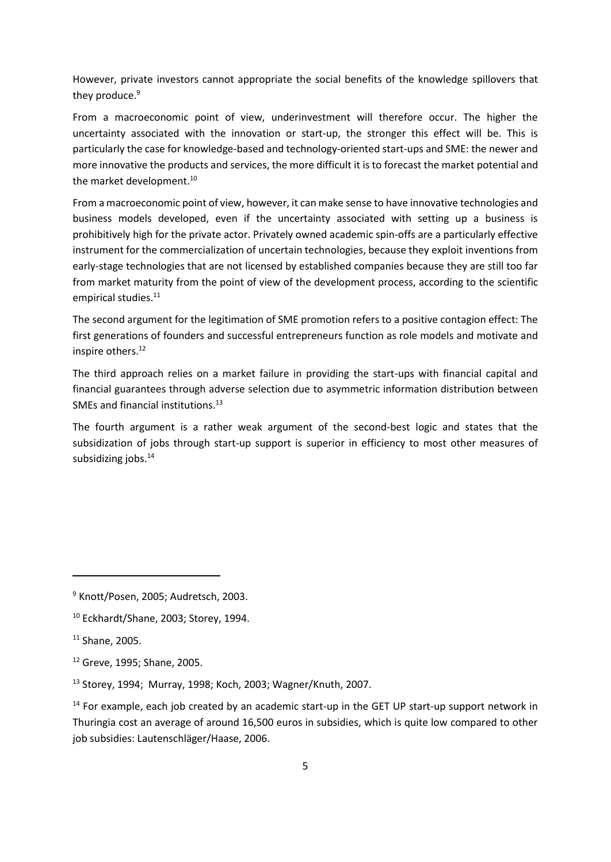However, private investors cannot appropriate the social benefits of the knowledge spillovers that they produce. 9

From a macroeconomic point of view, underinvestment will therefore occur. The higher the uncertainty associated with the innovation or start-up, the stronger this effect will be. This is particularly the case for knowledge-based and technology-oriented start-ups and SME: the newer and more innovative the products and services, the more difficult it is to forecast the market potential and the market development.<sup>10</sup>

From a macroeconomic point of view, however, it can make sense to have innovative technologies and business models developed, even if the uncertainty associated with setting up a business is prohibitively high for the private actor. Privately owned academic spin-offs are a particularly effective instrument for the commercialization of uncertain technologies, because they exploit inventions from early-stage technologies that are not licensed by established companies because they are still too far from market maturity from the point of view of the development process, according to the scientific empirical studies.<sup>11</sup>

The second argument for the legitimation of SME promotion refers to a positive contagion effect: The first generations of founders and successful entrepreneurs function as role models and motivate and inspire others. 12

The third approach relies on a market failure in providing the start-ups with financial capital and financial guarantees through adverse selection due to asymmetric information distribution between SMEs and financial institutions.<sup>13</sup>

The fourth argument is a rather weak argument of the second-best logic and states that the subsidization of jobs through start-up support is superior in efficiency to most other measures of subsidizing jobs. 14

<sup>9</sup> Knott/Posen, 2005; Audretsch, 2003.

<sup>10</sup> Eckhardt/Shane, 2003; Storey, 1994.

<sup>11</sup> Shane, 2005.

<sup>12</sup> Greve, 1995; Shane, 2005.

<sup>13</sup> Storey, 1994; Murray, 1998; Koch, 2003; Wagner/Knuth, 2007.

 $14$  For example, each job created by an academic start-up in the GET UP start-up support network in Thuringia cost an average of around 16,500 euros in subsidies, which is quite low compared to other job subsidies: Lautenschläger/Haase, 2006.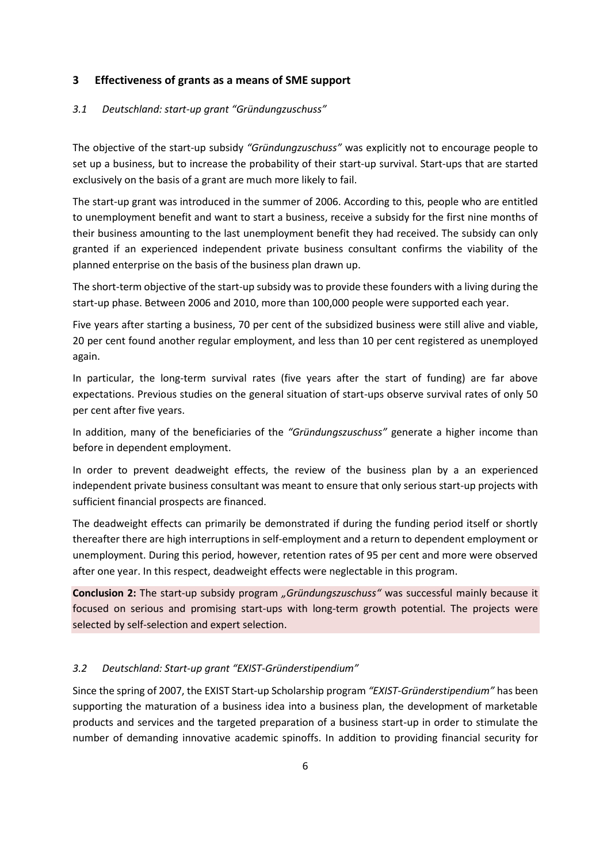## <span id="page-9-0"></span>**3 Effectiveness of grants as a means of SME support**

### <span id="page-9-1"></span>*3.1 Deutschland: start-up grant "Gründungzuschuss"*

The objective of the start-up subsidy *"Gründungzuschuss"* was explicitly not to encourage people to set up a business, but to increase the probability of their start-up survival. Start-ups that are started exclusively on the basis of a grant are much more likely to fail.

The start-up grant was introduced in the summer of 2006. According to this, people who are entitled to unemployment benefit and want to start a business, receive a subsidy for the first nine months of their business amounting to the last unemployment benefit they had received. The subsidy can only granted if an experienced independent private business consultant confirms the viability of the planned enterprise on the basis of the business plan drawn up.

The short-term objective of the start-up subsidy was to provide these founders with a living during the start-up phase. Between 2006 and 2010, more than 100,000 people were supported each year.

Five years after starting a business, 70 per cent of the subsidized business were still alive and viable, 20 per cent found another regular employment, and less than 10 per cent registered as unemployed again.

In particular, the long-term survival rates (five years after the start of funding) are far above expectations. Previous studies on the general situation of start-ups observe survival rates of only 50 per cent after five years.

In addition, many of the beneficiaries of the *"Gründungszuschuss"* generate a higher income than before in dependent employment.

In order to prevent deadweight effects, the review of the business plan by a an experienced independent private business consultant was meant to ensure that only serious start-up projects with sufficient financial prospects are financed.

The deadweight effects can primarily be demonstrated if during the funding period itself or shortly thereafter there are high interruptions in self-employment and a return to dependent employment or unemployment. During this period, however, retention rates of 95 per cent and more were observed after one year. In this respect, deadweight effects were neglectable in this program.

**Conclusion 2:** The start-up subsidy program *"Gründungszuschuss"* was successful mainly because it focused on serious and promising start-ups with long-term growth potential. The projects were selected by self-selection and expert selection.

### <span id="page-9-2"></span>*3.2 Deutschland: Start-up grant "EXIST-Gründerstipendium"*

Since the spring of 2007, the EXIST Start-up Scholarship program *"EXIST-Gründerstipendium"* has been supporting the maturation of a business idea into a business plan, the development of marketable products and services and the targeted preparation of a business start-up in order to stimulate the number of demanding innovative academic spinoffs. In addition to providing financial security for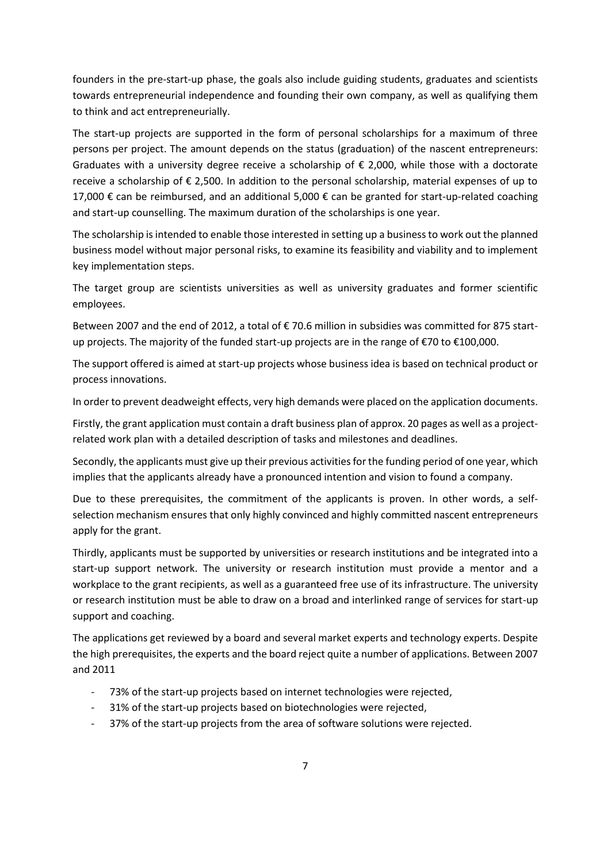founders in the pre-start-up phase, the goals also include guiding students, graduates and scientists towards entrepreneurial independence and founding their own company, as well as qualifying them to think and act entrepreneurially.

The start-up projects are supported in the form of personal scholarships for a maximum of three persons per project. The amount depends on the status (graduation) of the nascent entrepreneurs: Graduates with a university degree receive a scholarship of  $\epsilon$  2,000, while those with a doctorate receive a scholarship of  $\epsilon$  2,500. In addition to the personal scholarship, material expenses of up to 17,000 € can be reimbursed, and an additional 5,000 € can be granted for start-up-related coaching and start-up counselling. The maximum duration of the scholarships is one year.

The scholarship is intended to enable those interested in setting up a business to work out the planned business model without major personal risks, to examine its feasibility and viability and to implement key implementation steps.

The target group are scientists universities as well as university graduates and former scientific employees.

Between 2007 and the end of 2012, a total of € 70.6 million in subsidies was committed for 875 startup projects. The majority of the funded start-up projects are in the range of €70 to €100,000.

The support offered is aimed at start-up projects whose business idea is based on technical product or process innovations.

In order to prevent deadweight effects, very high demands were placed on the application documents.

Firstly, the grant application must contain a draft business plan of approx. 20 pages as well as a projectrelated work plan with a detailed description of tasks and milestones and deadlines.

Secondly, the applicants must give up their previous activities for the funding period of one year, which implies that the applicants already have a pronounced intention and vision to found a company.

Due to these prerequisites, the commitment of the applicants is proven. In other words, a selfselection mechanism ensures that only highly convinced and highly committed nascent entrepreneurs apply for the grant.

Thirdly, applicants must be supported by universities or research institutions and be integrated into a start-up support network. The university or research institution must provide a mentor and a workplace to the grant recipients, as well as a guaranteed free use of its infrastructure. The university or research institution must be able to draw on a broad and interlinked range of services for start-up support and coaching.

The applications get reviewed by a board and several market experts and technology experts. Despite the high prerequisites, the experts and the board reject quite a number of applications. Between 2007 and 2011

- 73% of the start-up projects based on internet technologies were rejected,
- 31% of the start-up projects based on biotechnologies were rejected,
- 37% of the start-up projects from the area of software solutions were rejected.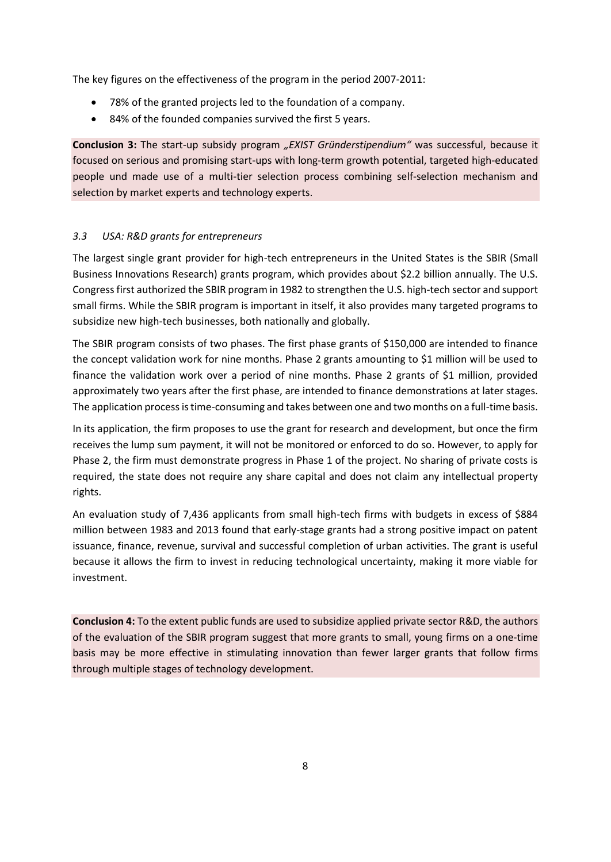The key figures on the effectiveness of the program in the period 2007-2011:

- 78% of the granted projects led to the foundation of a company.
- 84% of the founded companies survived the first 5 years.

**Conclusion 3:** The start-up subsidy program *"EXIST Gründerstipendium"* was successful, because it focused on serious and promising start-ups with long-term growth potential, targeted high-educated people und made use of a multi-tier selection process combining self-selection mechanism and selection by market experts and technology experts.

# <span id="page-11-0"></span>*3.3 USA: R&D grants for entrepreneurs*

The largest single grant provider for high-tech entrepreneurs in the United States is the SBIR (Small Business Innovations Research) grants program, which provides about \$2.2 billion annually. The U.S. Congress first authorized the SBIR program in 1982 to strengthen the U.S. high-tech sector and support small firms. While the SBIR program is important in itself, it also provides many targeted programs to subsidize new high-tech businesses, both nationally and globally.

The SBIR program consists of two phases. The first phase grants of \$150,000 are intended to finance the concept validation work for nine months. Phase 2 grants amounting to \$1 million will be used to finance the validation work over a period of nine months. Phase 2 grants of \$1 million, provided approximately two years after the first phase, are intended to finance demonstrations at later stages. The application process is time-consuming and takes between one and two months on a full-time basis.

In its application, the firm proposes to use the grant for research and development, but once the firm receives the lump sum payment, it will not be monitored or enforced to do so. However, to apply for Phase 2, the firm must demonstrate progress in Phase 1 of the project. No sharing of private costs is required, the state does not require any share capital and does not claim any intellectual property rights.

An evaluation study of 7,436 applicants from small high-tech firms with budgets in excess of \$884 million between 1983 and 2013 found that early-stage grants had a strong positive impact on patent issuance, finance, revenue, survival and successful completion of urban activities. The grant is useful because it allows the firm to invest in reducing technological uncertainty, making it more viable for investment.

**Conclusion 4:** To the extent public funds are used to subsidize applied private sector R&D, the authors of the evaluation of the SBIR program suggest that more grants to small, young firms on a one-time basis may be more effective in stimulating innovation than fewer larger grants that follow firms through multiple stages of technology development.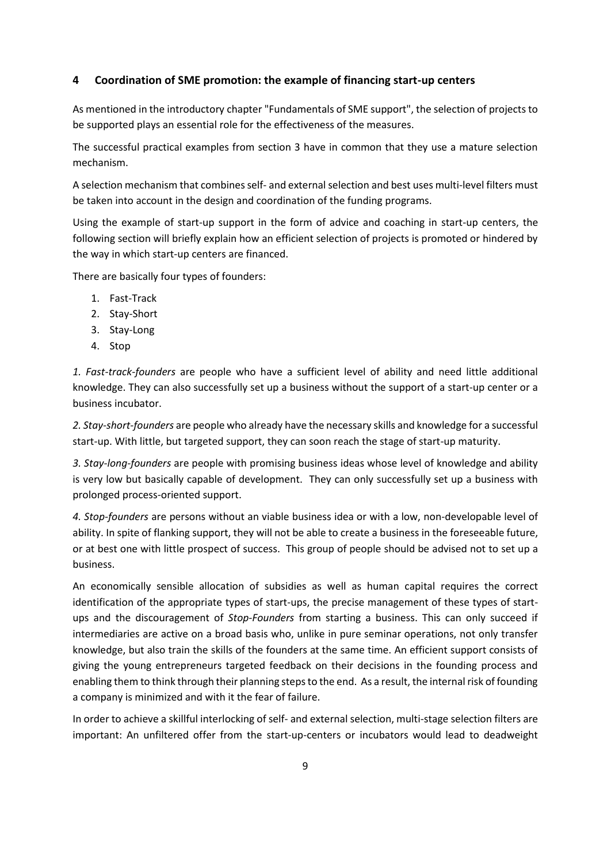## <span id="page-12-0"></span>**4 Coordination of SME promotion: the example of financing start-up centers**

As mentioned in the introductory chapter "Fundamentals of SME support", the selection of projects to be supported plays an essential role for the effectiveness of the measures.

The successful practical examples from section 3 have in common that they use a mature selection mechanism.

A selection mechanism that combinesself- and external selection and best uses multi-level filters must be taken into account in the design and coordination of the funding programs.

Using the example of start-up support in the form of advice and coaching in start-up centers, the following section will briefly explain how an efficient selection of projects is promoted or hindered by the way in which start-up centers are financed.

There are basically four types of founders:

- 1. Fast-Track
- 2. Stay-Short
- 3. Stay-Long
- 4. Stop

*1. Fast-track-founders* are people who have a sufficient level of ability and need little additional knowledge. They can also successfully set up a business without the support of a start-up center or a business incubator.

*2. Stay-short-founders* are people who already have the necessary skills and knowledge for a successful start-up. With little, but targeted support, they can soon reach the stage of start-up maturity.

*3. Stay-long-founders* are people with promising business ideas whose level of knowledge and ability is very low but basically capable of development. They can only successfully set up a business with prolonged process-oriented support.

*4. Stop-founders* are persons without an viable business idea or with a low, non-developable level of ability. In spite of flanking support, they will not be able to create a business in the foreseeable future, or at best one with little prospect of success. This group of people should be advised not to set up a business.

An economically sensible allocation of subsidies as well as human capital requires the correct identification of the appropriate types of start-ups, the precise management of these types of startups and the discouragement of *Stop-Founders* from starting a business. This can only succeed if intermediaries are active on a broad basis who, unlike in pure seminar operations, not only transfer knowledge, but also train the skills of the founders at the same time. An efficient support consists of giving the young entrepreneurs targeted feedback on their decisions in the founding process and enabling them to think through their planning steps to the end. As a result, the internal risk of founding a company is minimized and with it the fear of failure.

In order to achieve a skillful interlocking of self- and external selection, multi-stage selection filters are important: An unfiltered offer from the start-up-centers or incubators would lead to deadweight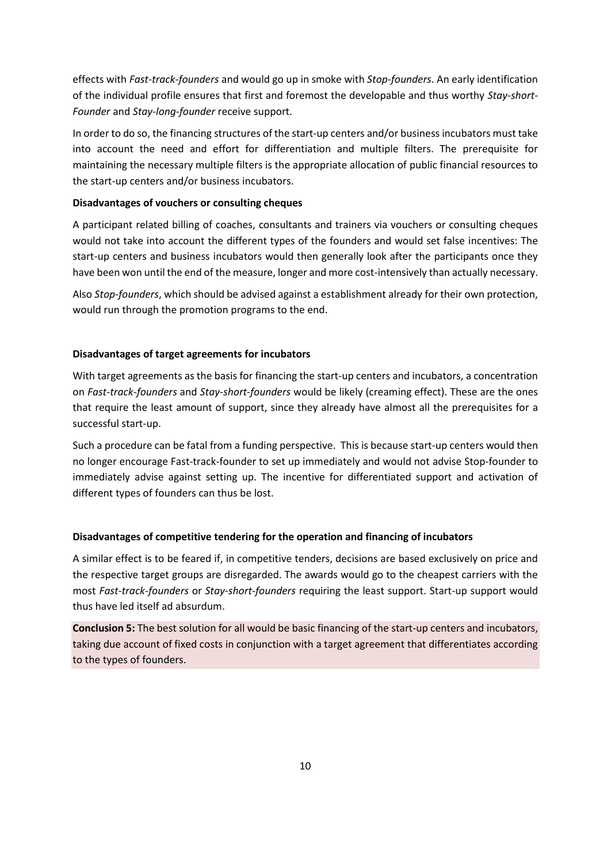effects with *Fast-track-founders* and would go up in smoke with *Stop-founders*. An early identification of the individual profile ensures that first and foremost the developable and thus worthy *Stay-short-Founder* and *Stay-long-founder* receive support.

In order to do so, the financing structures of the start-up centers and/or business incubators must take into account the need and effort for differentiation and multiple filters. The prerequisite for maintaining the necessary multiple filters is the appropriate allocation of public financial resources to the start-up centers and/or business incubators.

## **Disadvantages of vouchers or consulting cheques**

A participant related billing of coaches, consultants and trainers via vouchers or consulting cheques would not take into account the different types of the founders and would set false incentives: The start-up centers and business incubators would then generally look after the participants once they have been won until the end of the measure, longer and more cost-intensively than actually necessary.

Also *Stop-founders*, which should be advised against a establishment already for their own protection, would run through the promotion programs to the end.

## **Disadvantages of target agreements for incubators**

With target agreements as the basis for financing the start-up centers and incubators, a concentration on *Fast-track-founders* and *Stay-short-founders* would be likely (creaming effect). These are the ones that require the least amount of support, since they already have almost all the prerequisites for a successful start-up.

Such a procedure can be fatal from a funding perspective. This is because start-up centers would then no longer encourage Fast-track-founder to set up immediately and would not advise Stop-founder to immediately advise against setting up. The incentive for differentiated support and activation of different types of founders can thus be lost.

### **Disadvantages of competitive tendering for the operation and financing of incubators**

A similar effect is to be feared if, in competitive tenders, decisions are based exclusively on price and the respective target groups are disregarded. The awards would go to the cheapest carriers with the most *Fast-track-founders* or *Stay-short-founders* requiring the least support. Start-up support would thus have led itself ad absurdum.

**Conclusion 5:** The best solution for all would be basic financing of the start-up centers and incubators, taking due account of fixed costs in conjunction with a target agreement that differentiates according to the types of founders.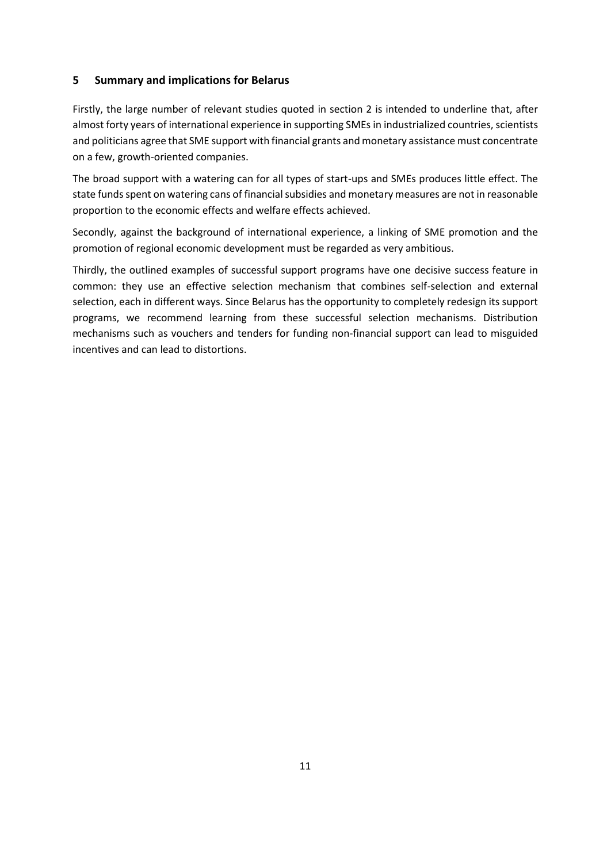## <span id="page-14-0"></span>**5 Summary and implications for Belarus**

Firstly, the large number of relevant studies quoted in section 2 is intended to underline that, after almost forty years of international experience in supporting SMEs in industrialized countries, scientists and politicians agree that SME support with financial grants and monetary assistance must concentrate on a few, growth-oriented companies.

The broad support with a watering can for all types of start-ups and SMEs produces little effect. The state funds spent on watering cans of financial subsidies and monetary measures are not in reasonable proportion to the economic effects and welfare effects achieved.

Secondly, against the background of international experience, a linking of SME promotion and the promotion of regional economic development must be regarded as very ambitious.

Thirdly, the outlined examples of successful support programs have one decisive success feature in common: they use an effective selection mechanism that combines self-selection and external selection, each in different ways. Since Belarus has the opportunity to completely redesign its support programs, we recommend learning from these successful selection mechanisms. Distribution mechanisms such as vouchers and tenders for funding non-financial support can lead to misguided incentives and can lead to distortions.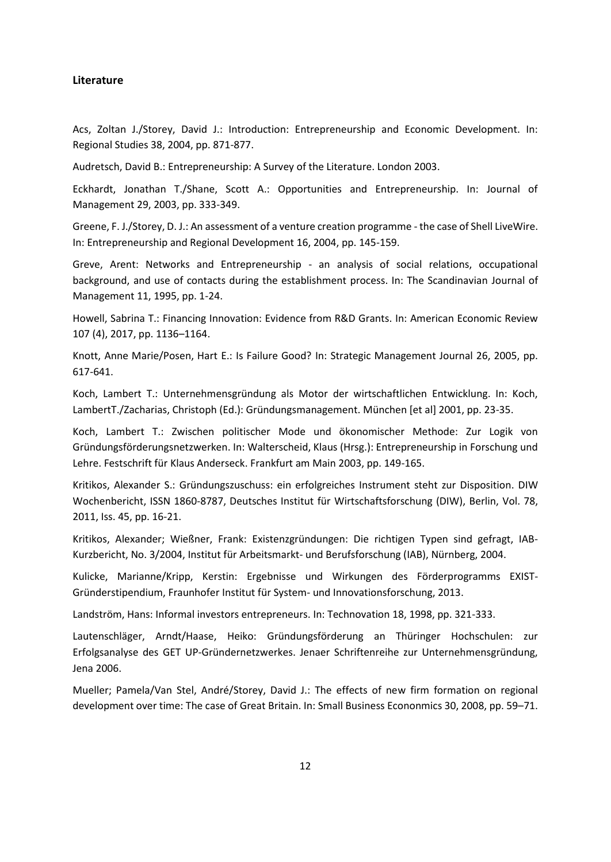## <span id="page-15-0"></span>**Literature**

Acs, Zoltan J./Storey, David J.: Introduction: Entrepreneurship and Economic Development. In: Regional Studies 38, 2004, pp. 871-877.

Audretsch, David B.: Entrepreneurship: A Survey of the Literature. London 2003.

Eckhardt, Jonathan T./Shane, Scott A.: Opportunities and Entrepreneurship. In: Journal of Management 29, 2003, pp. 333-349.

Greene, F. J./Storey, D. J.: An assessment of a venture creation programme - the case of Shell LiveWire. In: Entrepreneurship and Regional Development 16, 2004, pp. 145-159.

Greve, Arent: Networks and Entrepreneurship - an analysis of social relations, occupational background, and use of contacts during the establishment process. In: The Scandinavian Journal of Management 11, 1995, pp. 1-24.

Howell, Sabrina T.: Financing Innovation: Evidence from R&D Grants. In: American Economic Review 107 (4), 2017, pp. 1136–1164.

Knott, Anne Marie/Posen, Hart E.: Is Failure Good? In: Strategic Management Journal 26, 2005, pp. 617-641.

Koch, Lambert T.: Unternehmensgründung als Motor der wirtschaftlichen Entwicklung. In: Koch, LambertT./Zacharias, Christoph (Ed.): Gründungsmanagement. München [et al] 2001, pp. 23-35.

Koch, Lambert T.: Zwischen politischer Mode und ökonomischer Methode: Zur Logik von Gründungsförderungsnetzwerken. In: Walterscheid, Klaus (Hrsg.): Entrepreneurship in Forschung und Lehre. Festschrift für Klaus Anderseck. Frankfurt am Main 2003, pp. 149-165.

Kritikos, Alexander S.: Gründungszuschuss: ein erfolgreiches Instrument steht zur Disposition. DIW Wochenbericht, ISSN 1860-8787, Deutsches Institut für Wirtschaftsforschung (DIW), Berlin, Vol. 78, 2011, Iss. 45, pp. 16-21.

Kritikos, Alexander; Wießner, Frank: Existenzgründungen: Die richtigen Typen sind gefragt, IAB-Kurzbericht, No. 3/2004, Institut für Arbeitsmarkt- und Berufsforschung (IAB), Nürnberg, 2004.

Kulicke, Marianne/Kripp, Kerstin: Ergebnisse und Wirkungen des Förderprogramms EXIST-Gründerstipendium, Fraunhofer Institut für System- und Innovationsforschung, 2013.

Landström, Hans: Informal investors entrepreneurs. In: Technovation 18, 1998, pp. 321-333.

Lautenschläger, Arndt/Haase, Heiko: Gründungsförderung an Thüringer Hochschulen: zur Erfolgsanalyse des GET UP-Gründernetzwerkes. Jenaer Schriftenreihe zur Unternehmensgründung, Jena 2006.

Mueller; Pamela/Van Stel, André/Storey, David J.: The effects of new firm formation on regional development over time: The case of Great Britain. In: Small Business Econonmics 30, 2008, pp. 59–71.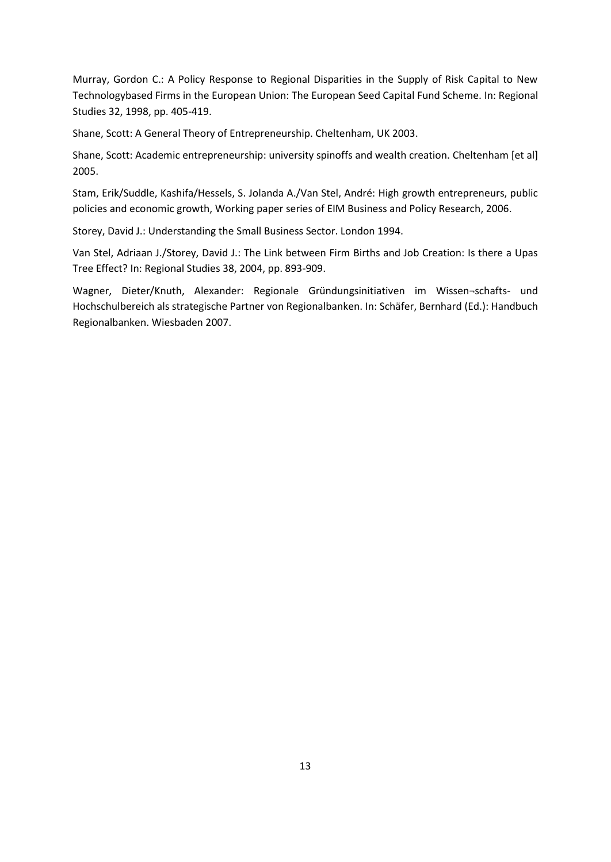Murray, Gordon C.: A Policy Response to Regional Disparities in the Supply of Risk Capital to New Technologybased Firms in the European Union: The European Seed Capital Fund Scheme. In: Regional Studies 32, 1998, pp. 405-419.

Shane, Scott: A General Theory of Entrepreneurship. Cheltenham, UK 2003.

Shane, Scott: Academic entrepreneurship: university spinoffs and wealth creation. Cheltenham [et al] 2005.

Stam, Erik/Suddle, Kashifa/Hessels, S. Jolanda A./Van Stel, André: High growth entrepreneurs, public policies and economic growth, Working paper series of EIM Business and Policy Research, 2006.

Storey, David J.: Understanding the Small Business Sector. London 1994.

Van Stel, Adriaan J./Storey, David J.: The Link between Firm Births and Job Creation: Is there a Upas Tree Effect? In: Regional Studies 38, 2004, pp. 893-909.

Wagner, Dieter/Knuth, Alexander: Regionale Gründungsinitiativen im Wissen¬schafts- und Hochschulbereich als strategische Partner von Regionalbanken. In: Schäfer, Bernhard (Ed.): Handbuch Regionalbanken. Wiesbaden 2007.